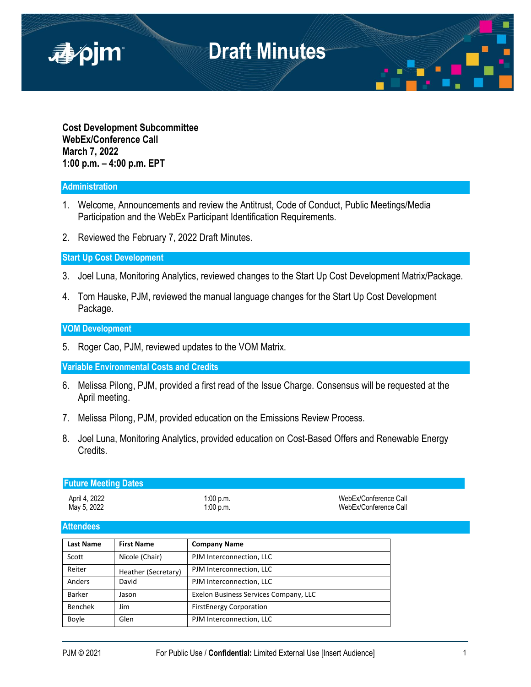

**Cost Development Subcommittee WebEx/Conference Call March 7, 2022 1:00 p.m. – 4:00 p.m. EPT**

## **Administration**

- 1. Welcome, Announcements and review the Antitrust, Code of Conduct, Public Meetings/Media Participation and the WebEx Participant Identification Requirements.
- 2. Reviewed the February 7, 2022 Draft Minutes.

### **Start Up Cost Development**

- 3. Joel Luna, Monitoring Analytics, reviewed changes to the Start Up Cost Development Matrix/Package.
- 4. Tom Hauske, PJM, reviewed the manual language changes for the Start Up Cost Development Package.

### **VOM Development**

5. Roger Cao, PJM, reviewed updates to the VOM Matrix.

**Variable Environmental Costs and Credits** 

- 6. Melissa Pilong, PJM, provided a first read of the Issue Charge. Consensus will be requested at the April meeting.
- 7. Melissa Pilong, PJM, provided education on the Emissions Review Process.
- 8. Joel Luna, Monitoring Analytics, provided education on Cost-Based Offers and Renewable Energy Credits.

| <b>Future Meeting Dates</b> |             |                       |  |  |  |
|-----------------------------|-------------|-----------------------|--|--|--|
| April 4, 2022               | 1:00 p.m.   | WebEx/Conference Call |  |  |  |
| May 5, 2022                 | $1:00$ p.m. | WebEx/Conference Call |  |  |  |

#### **Attendees**

| <b>Last Name</b> | <b>First Name</b>   | <b>Company Name</b>                   |
|------------------|---------------------|---------------------------------------|
| Scott            | Nicole (Chair)      | PJM Interconnection, LLC              |
| Reiter           | Heather (Secretary) | PJM Interconnection, LLC              |
| Anders           | David               | PJM Interconnection, LLC              |
| <b>Barker</b>    | Jason               | Exelon Business Services Company, LLC |
| <b>Benchek</b>   | <b>Jim</b>          | <b>FirstEnergy Corporation</b>        |
| Boyle            | Glen                | PJM Interconnection, LLC              |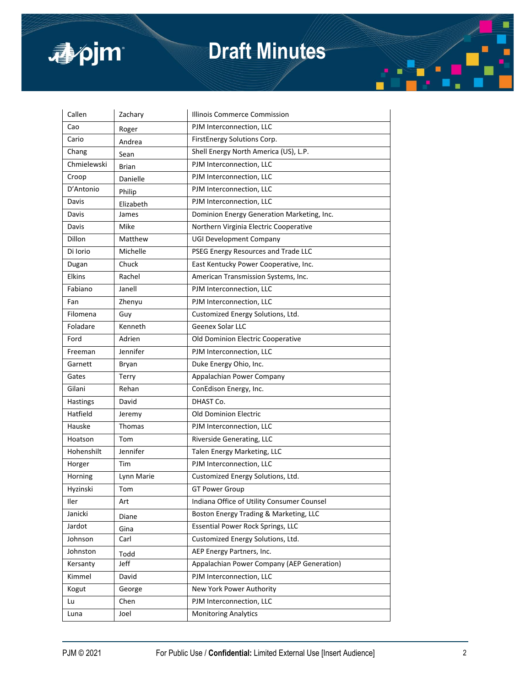

# **Draft Minutes**

| Callen      | Zachary       | Illinois Commerce Commission               |
|-------------|---------------|--------------------------------------------|
| Cao         | Roger         | PJM Interconnection, LLC                   |
| Cario       | Andrea        | FirstEnergy Solutions Corp.                |
| Chang       | Sean          | Shell Energy North America (US), L.P.      |
| Chmielewski | Brian         | PJM Interconnection, LLC                   |
| Croop       | Danielle      | PJM Interconnection, LLC                   |
| D'Antonio   | Philip        | PJM Interconnection, LLC                   |
| Davis       | Elizabeth     | PJM Interconnection, LLC                   |
| Davis       | James         | Dominion Energy Generation Marketing, Inc. |
| Davis       | Mike          | Northern Virginia Electric Cooperative     |
| Dillon      | Matthew       | UGI Development Company                    |
| Di Iorio    | Michelle      | PSEG Energy Resources and Trade LLC        |
| Dugan       | Chuck         | East Kentucky Power Cooperative, Inc.      |
| Elkins      | Rachel        | American Transmission Systems, Inc.        |
| Fabiano     | Janell        | PJM Interconnection, LLC                   |
| Fan         | Zhenyu        | PJM Interconnection, LLC                   |
| Filomena    | Guy           | Customized Energy Solutions, Ltd.          |
| Foladare    | Kenneth       | Geenex Solar LLC                           |
| Ford        | Adrien        | Old Dominion Electric Cooperative          |
| Freeman     | Jennifer      | PJM Interconnection, LLC                   |
| Garnett     | Bryan         | Duke Energy Ohio, Inc.                     |
| Gates       | <b>Terry</b>  | Appalachian Power Company                  |
| Gilani      | Rehan         | ConEdison Energy, Inc.                     |
| Hastings    | David         | DHAST Co.                                  |
| Hatfield    | Jeremy        | <b>Old Dominion Electric</b>               |
| Hauske      | <b>Thomas</b> | PJM Interconnection, LLC                   |
| Hoatson     | Tom           | Riverside Generating, LLC                  |
| Hohenshilt  | Jennifer      | Talen Energy Marketing, LLC                |
| Horger      | Tim           | PJM Interconnection, LLC                   |
| Horning     | Lynn Marie    | Customized Energy Solutions, Ltd.          |
| Hyzinski    | Tom           | <b>GT Power Group</b>                      |
| Iler        | Art           | Indiana Office of Utility Consumer Counsel |
| Janicki     | Diane         | Boston Energy Trading & Marketing, LLC     |
| Jardot      | Gina          | <b>Essential Power Rock Springs, LLC</b>   |
| Johnson     | Carl          | Customized Energy Solutions, Ltd.          |
| Johnston    | Todd          | AEP Energy Partners, Inc.                  |
| Kersanty    | Jeff          | Appalachian Power Company (AEP Generation) |
| Kimmel      | David         | PJM Interconnection, LLC                   |
| Kogut       | George        | New York Power Authority                   |
| Lu          | Chen          | PJM Interconnection, LLC                   |
| Luna        | Joel          | <b>Monitoring Analytics</b>                |